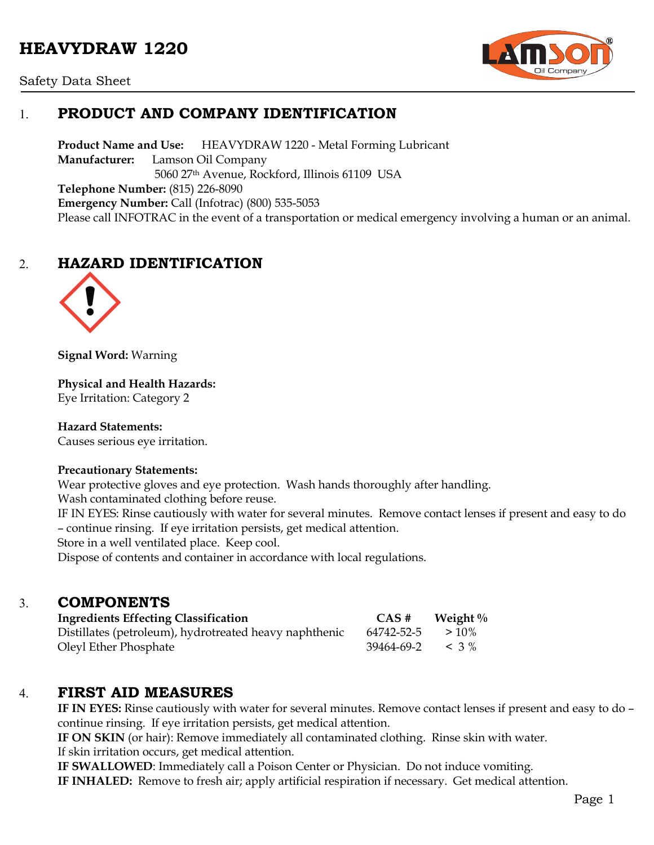# **HEAVYDRAW 1220**



Safety Data Sheet

# 1. **PRODUCT AND COMPANY IDENTIFICATION**

**Product Name and Use:** HEAVYDRAW 1220 - Metal Forming Lubricant **Manufacturer:** Lamson Oil Company 5060 27th Avenue, Rockford, Illinois 61109 USA **Telephone Number:** (815) 226-8090 **Emergency Number:** Call (Infotrac) (800) 535-5053 Please call INFOTRAC in the event of a transportation or medical emergency involving a human or an animal.

# 2. **HAZARD IDENTIFICATION**



**Signal Word:** Warning

**Physical and Health Hazards:** Eye Irritation: Category 2

**Hazard Statements:**  Causes serious eye irritation.

### **Precautionary Statements:**

Wear protective gloves and eye protection. Wash hands thoroughly after handling.

Wash contaminated clothing before reuse.

IF IN EYES: Rinse cautiously with water for several minutes. Remove contact lenses if present and easy to do – continue rinsing. If eye irritation persists, get medical attention.

Store in a well ventilated place. Keep cool.

Dispose of contents and container in accordance with local regulations.

### 3. **COMPONENTS**

| <b>Ingredients Effecting Classification</b>            | CAS#                      | Weight $\%$ |
|--------------------------------------------------------|---------------------------|-------------|
| Distillates (petroleum), hydrotreated heavy naphthenic | 64742-52-5                | $>10\%$     |
| Oleyl Ether Phosphate                                  | $39464 - 69 - 2 \leq 3\%$ |             |

### 4. **FIRST AID MEASURES**

**IF IN EYES:** Rinse cautiously with water for several minutes. Remove contact lenses if present and easy to do – continue rinsing. If eye irritation persists, get medical attention.

**IF ON SKIN** (or hair): Remove immediately all contaminated clothing. Rinse skin with water. If skin irritation occurs, get medical attention.

**IF SWALLOWED**: Immediately call a Poison Center or Physician. Do not induce vomiting.

**IF INHALED:** Remove to fresh air; apply artificial respiration if necessary. Get medical attention.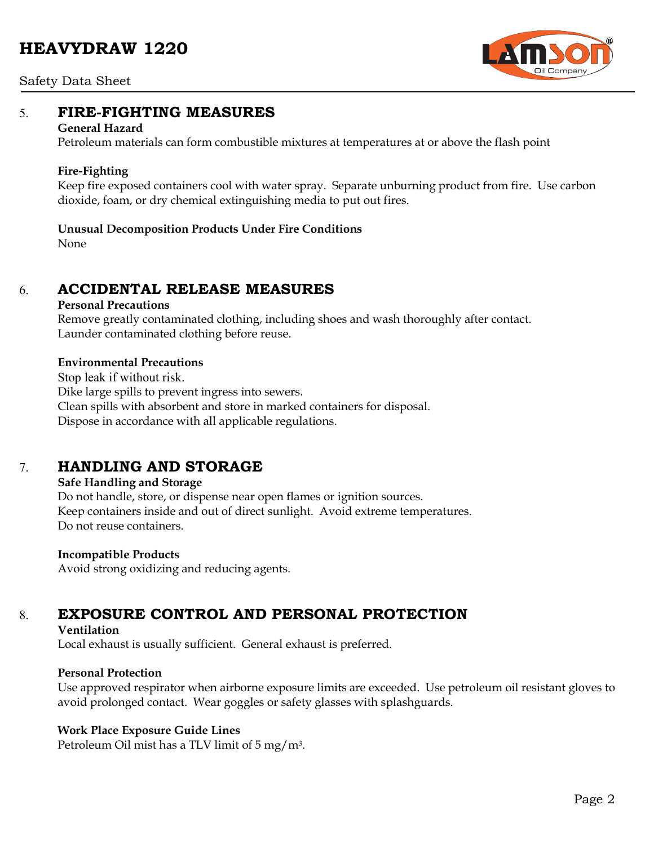# **HEAVYDRAW 1220**



#### Safety Data Sheet

### 5. **FIRE-FIGHTING MEASURES**

#### **General Hazard**

Petroleum materials can form combustible mixtures at temperatures at or above the flash point

#### **Fire-Fighting**

Keep fire exposed containers cool with water spray. Separate unburning product from fire. Use carbon dioxide, foam, or dry chemical extinguishing media to put out fires.

#### **Unusual Decomposition Products Under Fire Conditions**

None

### 6. **ACCIDENTAL RELEASE MEASURES**

#### **Personal Precautions**

Remove greatly contaminated clothing, including shoes and wash thoroughly after contact. Launder contaminated clothing before reuse.

#### **Environmental Precautions**

Stop leak if without risk. Dike large spills to prevent ingress into sewers. Clean spills with absorbent and store in marked containers for disposal. Dispose in accordance with all applicable regulations.

## 7. **HANDLING AND STORAGE**

#### **Safe Handling and Storage**

Do not handle, store, or dispense near open flames or ignition sources. Keep containers inside and out of direct sunlight. Avoid extreme temperatures. Do not reuse containers.

#### **Incompatible Products**

Avoid strong oxidizing and reducing agents.

# 8. **EXPOSURE CONTROL AND PERSONAL PROTECTION**

#### **Ventilation**

Local exhaust is usually sufficient. General exhaust is preferred.

#### **Personal Protection**

Use approved respirator when airborne exposure limits are exceeded. Use petroleum oil resistant gloves to avoid prolonged contact. Wear goggles or safety glasses with splashguards.

#### **Work Place Exposure Guide Lines**

Petroleum Oil mist has a TLV limit of 5 mg/m3.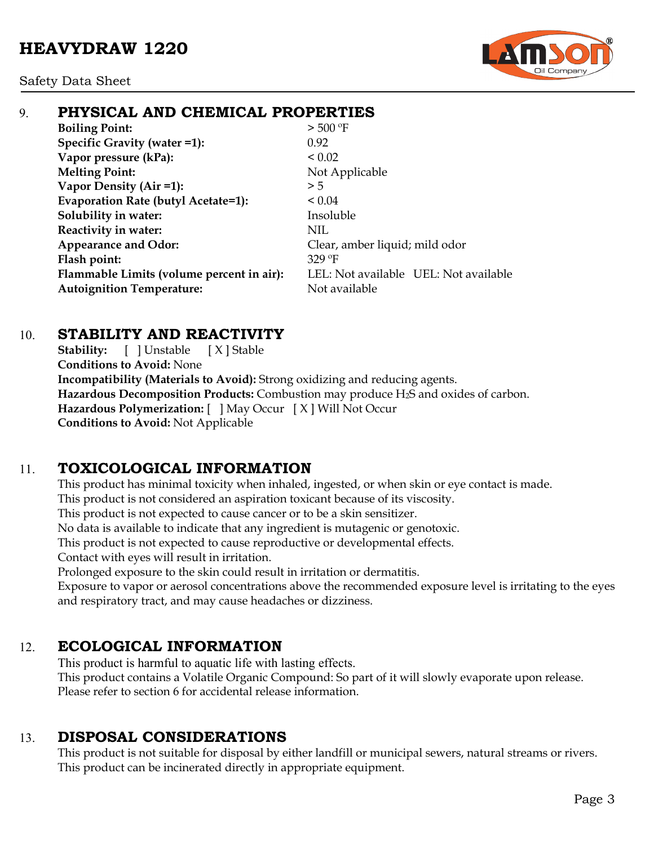Safety Data Sheet



# 9. **PHYSICAL AND CHEMICAL PROPERTIES**

**Boiling Point:**  $> 500 °F$ **Specific Gravity (water =1):** 0.92 **Vapor pressure (kPa):**  $< 0.02$ **Melting Point:** Not Applicable **Vapor Density (Air =1):**  $>5$ **Evaporation Rate (butyl Acetate=1):** < 0.04 **Solubility in water:** Insoluble **Reactivity in water:** NIL **Appearance and Odor:** Clear, amber liquid; mild odor **Flash point:** 329 ºF **Flammable Limits (volume percent in air):** LEL: Not available UEL: Not available **Autoignition Temperature:** Not available

## 10. **STABILITY AND REACTIVITY**

**Stability:** [ ] Unstable [ X ] Stable **Conditions to Avoid:** None **Incompatibility (Materials to Avoid):** Strong oxidizing and reducing agents. **Hazardous Decomposition Products:** Combustion may produce H2S and oxides of carbon. **Hazardous Polymerization:** [ ] May Occur [ X ] Will Not Occur **Conditions to Avoid:** Not Applicable

# 11. **TOXICOLOGICAL INFORMATION**

This product has minimal toxicity when inhaled, ingested, or when skin or eye contact is made. This product is not considered an aspiration toxicant because of its viscosity.

This product is not expected to cause cancer or to be a skin sensitizer.

No data is available to indicate that any ingredient is mutagenic or genotoxic.

This product is not expected to cause reproductive or developmental effects.

Contact with eyes will result in irritation.

Prolonged exposure to the skin could result in irritation or dermatitis.

Exposure to vapor or aerosol concentrations above the recommended exposure level is irritating to the eyes and respiratory tract, and may cause headaches or dizziness.

# 12. **ECOLOGICAL INFORMATION**

This product is harmful to aquatic life with lasting effects. This product contains a Volatile Organic Compound: So part of it will slowly evaporate upon release. Please refer to section 6 for accidental release information.

# 13. **DISPOSAL CONSIDERATIONS**

This product is not suitable for disposal by either landfill or municipal sewers, natural streams or rivers. This product can be incinerated directly in appropriate equipment.